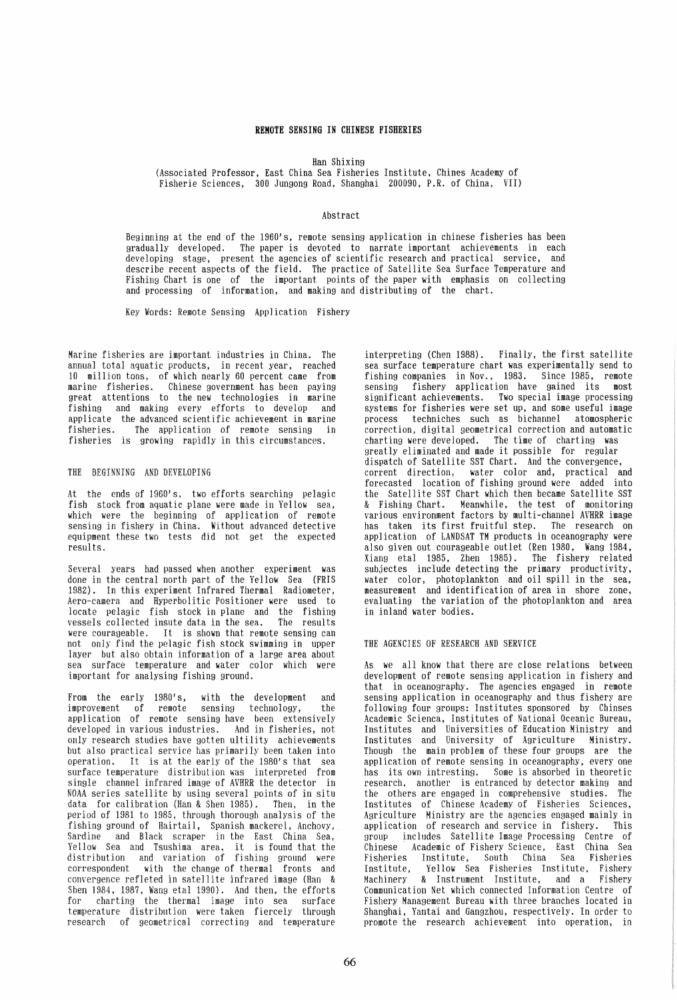### **REMOTE SENSING IN CHINESE FISHERIES**

Han Shixing

(Associated Professor, East China Sea Fisheries Institute, Chines Academy of Fisherie Sciences, 300 Jungong Road, Shanghai 200090, P.R. of China, VII)

# Abstract

Beginning at the end of the 1960's, remote sensing application in chinese fisheries has been gradually developed. The paper is devoted to narrate important achievements in each developing stage, present the agencies of scientific research and practical service, and describe recent aspects of the field. The practice of Satellite Sea Surface Temperature and Fishing Chart is one of the important points of the paper with emphasis on collecting and processing of information, and making and distributing of the chart.

Key Words: Remote Sensing Application Fishery

Marine fisheries are important industries in China. The annual total aquatic products, in recent year, reached 10 million tons, of which nearly 60 percent came from marine fisheries. Chinese government has been paying great attentions to the new technologies in marine fishing and making every efforts to develop and applicate the advanced scientific achievement in marine fisheries. The application of remote sensing in fisheries is growing rapidly in this circumstances.

## THE BEGINNING AND DEVELOPING

At the ends of 1960's. two efforts searching pelagic fish stock from aquatic plane were made in Yellow sea, which were the beginning of application of remote sensing in fishery in China. Without advanced detective equipment these two tests djd not get the expected results.

Several years had passed when another experiment was done in the central north part of the Yellow Sea (FRIS 1982). In this experiment Infrared Thermal Radiometer, Aero-camera and Hyperbolitic Positioner were used to locate pelagic fish stock in plane and the fishing<br>vessels collected insute data in the sea. The results were courageable. It is shown that remote sensing can not only find the pelagic fish stock swimming in upper layer but also obtain information of a large area about sea surface temperature and water color which were important for analysing fishing ground.

From the early 1980's, with the development and improvement of remote sensing technology, the application of remote sensing have been extensively developed in various industries. And in fisheries, not only research studies have gotten ultility achievements but also practical service has primarily been taken into operation. It is at the early of the 1980's that sea surface temperature distribution was interpreted from single channel infrared image of AVHRR the detector in NOAA series satellite by using several points of in situ data for calibration (Han & Shen 1985). Then, in the period of 1981 to 1985, through thorough analysis of the fishing ground of Hairtall, Spanish mackerel, Anchovy, Sardine and Black scraper in the East China Sea, Yellow Sea and Tsushima area, it is found that the distribution and variation of fishing ground were correspondent with the change of thermal fronts and convergence refleted in satellite infrared image (Han & Shen 1984, 1987, Wang etal 1990). And then, the efforts for charting the thermal image into sea surface temperature distribution were taken fiercely through research of geometrical correcting and temperature

interpreting (Chen 1988). Finally, the first satellite sea surface temperature chart was experimentally send to fishing companies in Nov., 1983. Since 1985, remote sensing fishery application have gained its most significant achievements. Two special image processing systems for fisheries were set up, and some useful image process techniches such as bichannel atomospheric correction, digital geometrical correction and automatic greatly eliminated and made it possible for regular dispatch of Satellite SST Chart. And the convergence, corrent direction, water color and, practical and forecasted location of fishing ground were added into the Satellite SST Chart which then became Satellite SST & Fishing Chart. Meanwhile, the test of monitoring various environment factors by multi-channel AVHRR image has taken its first fruitful step. The research on application of LANDSAT TM products in oceanography were also given out courageable outlet (Ren 1980, Wang 1984, Xiang etal 1985, Zhen 1985). The fishery related subjectes include detecting the primary productivity, water color, photoplankton and oil spill in the sea, measurement and identification of area in shore zone, evaluating the variation of the photoplankton and area in inland water bodies.

#### THE AGENCIES OF RESEARCH AND SERVICE

As we all know that there are close relations between development of remote sensing application in fishery and that in oceanography. The agencies engaged in remote<br>sensing application in oceanography and thus fishery are following four groups: Institutes sponsored by Chinses Academic Scienca, Institutes of National Oceanic Bureau, Institutes and Universities of Education Ministry and Institutes and University of Agriculture Ministry. Though the main problem of these four groups are the application of remote sensing in oceanography, every one has its own intresting. Some is absorbed in theoretic research, another is entranced by detector making and the others are engaged in comprehensive studies. The Institutes of Chinese Academy of Fisheries Sciences, Agriculture Ministry are the agencies engaged mainly in application of research and service in fishery. This group includes Satellite Image Processing Centre of .<br>Academic of Fishery Science, East China Sea<br>s Institute, South China Sea Fisheries Fisheries Institute, South China Sea Fisheries Institute, Yellow Sea Fisheries Institute, Fishery & Instrument Institute, and a Communication Net which connected Information Centre of Fishery Management Bureau with three branches located in Shanghai, Yantai and Gangzhou, respectively. In order to promote the research achievement into operation, in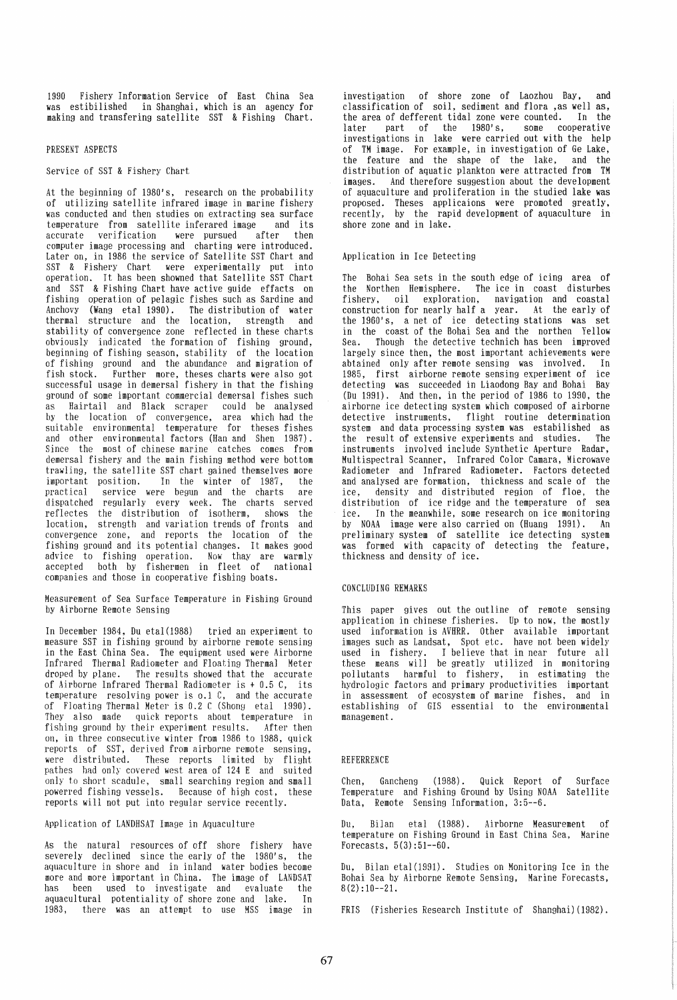1990 Fishery Information Service of East China Sea was estibilished in Shanghai, which is an agency for making and transfering satellite SST & Fishing Chart.

# PRESENT ASPECTS

### Service of SST & Fishery Chart

At the beginning of 1980's, research on the probability was conducted and then studies on extracting sea surface<br>temperature from satellite inferared image and its temperature from satellite inferared image and its<br>accurate verification were pursued after then  $were$  pursued after computer image processing and charting were introduced. Later on, in 1986 the service of Satellite SST Chart and SST & Fishery Chart were experimentally put into operation. It has been showned that Satellite SST Chart and SST & Fishing Chart have active guide effacts on fishing operation of pelagic fishes such as Sardine and Anchovy (Wang etal 1990). The distribution of water thermal structure and the location, strength and stability of convergence zone reflected in these charts obviously indicated the formation of fishing ground, beginning of fishing season, stability of the location of fishing ground and the abundance and migration of fish stock. Further more, theses charts were also got successful usage in demersal fishery in that the fishing ground of some important commercial demersal fishes such<br>as - Hairtail and Black scraper - could be analysed by the location of convergence, area which had the suitable environmental temperature for theses fishes and other environmental factors (Han and Shen 1987). Since the most of chinese marine catches comes from demersal fishery and the main fishing method were bottom<br>trawling, the satellite SST chart gained themselves more important position. In the winter of 1987, the practical service were begun and the charts are dispatched regularly every week. The charts served reflectes the distribution of isotherm, shows the location, strength and variation trends of fronts and convergence zone, and reports the location of the fishing ground and Its potential changes. It makes good advice to fishing operation. Now thay are warmly accepted both by fishermen in fleet of national companies and those in cooperative fishing boats.

Measurement of Sea Surface Temperature in Fishing Ground by Airborne Remote Sensing

In December 1984, Du etal(1988) tried an experiment to measure SST in fishing ground by airborne remote sensing in the East China Sea. The equipment used were Airborne Infrared Thermal Radiometer and Floating Thermal Meter The results showed that the accurate of Airborne Infrared Thermal Radiometer is + 0.5 C, its temperature resolving power is 0.1 C, and the accurate of Floating Thermal Meter is 0.2 C (Shong etal 1990). They also made quick reports about temperature in fishing ground by their experiment results. After then on, in three consecutive winter from 1986 to 1988, quick reports of SST, derived from airborne remote sensing, were distributed. These reports limited by flight pathes had only covered west area of 124 E and suited only to short scadule, small searching region and small powerred fishing vessels. Because of high cost, these reports will not put into regular service recently.

## Application of LANDHSAT Image in Aquaculture

As the natural resources of off shore fishery have severely declined since the early of the 1980's, the aquaculture in shore and in inland water bodies become more and more important in China. The image of LANDSAT<br>has been used to investigate and evaluate the has been used to investigate and evaluate aquacultural potentiality of shore zone and lake. In<br>1983. there was an attempt to use MSS image in there was an attempt to use MSS image in

investigation of shore zone of Laozhou Bay, and classification of soil, sediment and flora ,as well as, the area of defferent tidal zone were counted. In the<br>later part of the 1980's, some cooperative part of the  $1980's$ , investigations in lake were carried out with the help of TM image. For example, in investigation of Ge Lake, the feature and the shape of the lake, distribution of aquatic plankton were attracted from TM images. And therefore suggestion about the development images. And therefore suggestion about the development proposed. Theses applicaions were promoted greatly, recently, by the rapid development of aquaculture in shore zone and in lake.

#### Application in Ice Detecting

The Bohai Sea sets in the south edge of icing area of the Northen Hemisphere. The ice in coast disturbes fishery, oil exploration, navigation and coastal construction for nearly half a year. At the early of the 1960's, a net of ice detecting stations was set in the coast of the Bohai Sea and the northen Yellow Sea. Though the detective technich has been improved largely since then, the most important achievements were<br>abtained only after remote sensing was involved. In<br>1985, first airborne remote sensing experiment of ice 1985, first airborne remote sensing experiment of detecting was succeeded in Liaodong Bay and Bohai Bay (Du 1991). And then, in the period of 1986 to 1990, the airborne ice detecting system which composed of airborne detective instruments, flight routine determination the result of extensive experiments and studies. The instruments involved include Synthetic Aperture Radar, Multispectral Scanner, Infrared Color Camara, Microwave Radiometer and Infrared Radiometer. Factors detected and analysed are formation, thickness and scale of the density and distributed region of floe, the distribution of ice ridge and the temperature of sea ice. In the meanwhile, some research on ice monitoring by NOAA image were also carried on (Huang 1991). An was formed with capacity of detecting the feature, thickness and density of ice.

# CONCLUDING REMARKS

This paper gives out the outline of remote sensing application in chinese fisheries. Up to now, the mostly used information is AVHRR. Other available important images such as Landsat, Spot etc. have not been widely used in fishery. I believe that in near future all these means will be greatly utilized in monitoring pollutants harmful to fishery, in estimating the hydrologic factors and primary productivities important in assessment of ecosystem of marine fishes, and in establishing of GIS essential to the environmental management.

#### REFERRENCE

Chen, Gancheng (1988). Quick Report of Surface Temperature and Fishing Ground by Using NOAA Satellite Data, Remote Sensing Information, 3:5--6.

Du, Bilan etal (1988). Airborne Measurement of temperature on Fishing Ground in East China Sea, Marine Forecasts, 5(3):51--60.

Du, Bilan etal(1991). Studies on Monitoring Ice in the Bohai Sea by Airborne Remote Sensing, Marine Forecasts,  $8(2):10--21.$ 

FRIS (Fisheries Research Institute of Shanghai) (1982).